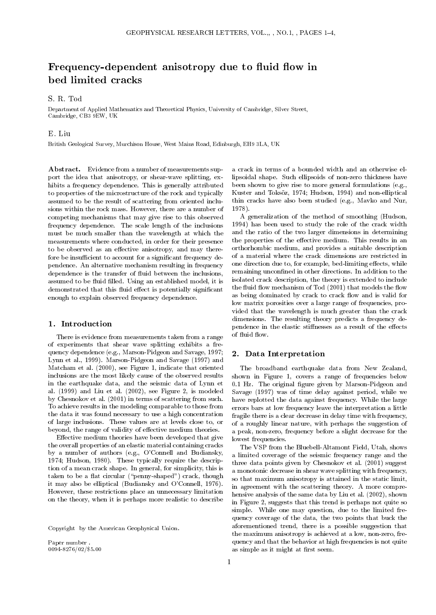# Frequency-dependent anisotropy due to fluid flow in

## S. R. Tod

Department of Applied Mathematics and Theoretical Physics, University of Cambridge, Silver Street, Cambridge, CB3 9EW, UK

### E. Liu

British Geological Survey, Murchison House, West Mains Road, Edinburgh, EH9 3LA, UK

Abstract. Evidence from a number of measurements support the idea that anisotropy, or shear-wave splitting, ex hibits a frequency dependence. This is generally attributed to properties of the microstructure of the rock and typically assumed to be the result of scattering from oriented inclusions within the rock mass. However, there are a number of competing mechanisms that may give rise to this observed frequency dependence. The scale length of the inclusions must be much smaller than the wavelength at which the measurements where conducted, in order for their presence to be observed as an effective anisotropy, and may therefore be insufficient to account for a significant frequency dependence. An alternative mechanism resulting in frequency dependence is the transfer of fluid between the inclusions, assumed to be fluid filled. Using an established model, it is demonstrated that this fluid effect is potentially significant enough to explain observed frequency dependence.

#### 1. Introduction

There is evidence from measurements taken from a range of experiments that shear wave splitting exhibits a frequency dependence (e.g., Marson-Pidgeon and Savage, 1997; Lynn et al., 1999). Marson-Pidgeon and Savage (1997) and Matcham et al. (2000), see Figure 1, indicate that oriented inclusions are the most likely cause of the observed results in the earthquake data, and the seismic data of Lynn et al.  $(1999)$  and Liu et al.  $(2002)$ , see Figure 2, is modeled by Chesnokov et al. (2001) in terms of scattering from such. To achieve results in the modeling comparable to those from the data it was found necessary to use a high concentration of large inclusions. These values are at levels close to, or beyond, the range of validity of effective medium theories.

Effective medium theories have been developed that give the overall properties of an elastic material containing cracks by a number of authors (e.g., O'Connell and Budiansky, 1974; Hudson, 1980). These typically require the description of a mean crack shape. In general, for simplicity, this is taken to be a flat circular ("penny-shaped") crack, though it may also be elliptical (Budiansky and O'Connell, 1976). However, these restrictions place an unnecessary limitation on the theory, when it is perhaps more realistic to describe

Copyright by the American Geophysical Union.

a crack in terms of a bounded width and an otherwise ellipsoidal shape. Such ellipsoids of non-zero thickness have been shown to give rise to more general formulations (e.g., Kuster and Toksöz, 1974; Hudson, 1994) and non-elliptical thin cracks have also been studied (e.g., Mavko and Nur, 1978).

A generalization of the method of smoothing (Hudson, 1994) has been used to study the role of the crack width and the ratio of the two larger dimensions in determining the properties of the effective medium. This results in an orthorhombic medium, and provides a suitable description of a material where the crack dimensions are restricted in one direction due to, for example, bed-limiting effects, while remaining unconfined in other directions. In addition to the isolated crack description, the theory is extended to include the fluid flow mechanism of Tod (2001) that models the flow as being dominated by crack to crack flow and is valid for low matrix porosities over a large range of frequencies, provided that the wavelength is much greater than the crack dimensions. The resulting theory predicts a frequency dependence in the elastic stiffnesses as a result of the effects of fluid flow.

#### 2. Data Interpretation

The broadband earthquake data from New Zealand, shown in Figure 1, covers a range of frequencies below 0.1 Hz. The original figure given by Marson-Pidgeon and Savage (1997) was of time delay against period, while we have replotted the data against frequency. While the large errors bars at low frequency leave the interpretation a little fragile there is a clear decrease in delay time with frequency, of a roughly linear nature, with perhaps the suggestion of a peak, non-zero, frequency before a slight decrease for the lowest frequencies.

The VSP from the Bluebell-Altamont Field, Utah, shows a limited coverage of the seismic frequency range and the three data points given by Chesnokov et al. (2001) suggest a monotonic decrease in shear wave splitting with frequency, so that maximum anisotropy is attained in the static limit, in agreement with the scattering theory. A more comprehensive analysis of the same data by Liu et al. (2002), shown in Figure 2, suggests that this trend is perhaps not quite so simple. While one may question, due to the limited frequency coverage of the data, the two points that buck the aforementioned trend, there is a possible suggestion that the maximum anisotropy is achieved at a low, non-zero, frequency and that the behavior at high frequencies is not quite as simple as it might at first seem.

Paper number . 0094-8276/02/\$5.00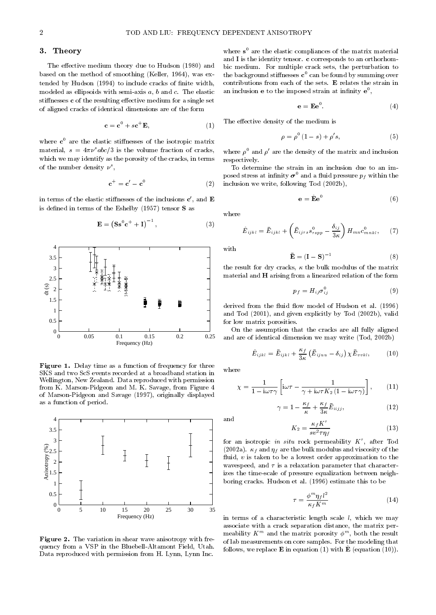#### 3.Theory

The effective medium theory due to Hudson (1980) and based on the method of smoothing (Keller, 1964), was ex tended by Hudson (1994) to include cracks of finite width, modeled as ellipsoids with semi-axis  $a, b$  and  $c$ . The elastic stiffnesses c of the resulting effective medium for a single set of aligned cracks of identical dimensions are of the form

$$
\mathbf{c} = \mathbf{c}^0 + s\mathbf{c}^+ \mathbf{E},\tag{1}
$$

where **c** are the elastic stiffnesses of the isotropic matrix material,  $s = 4\pi\nu^s abc/3$  is the volume fraction of cracks, which we may identify as the porosity of the cracks, in terms respectively. of the number density  $\nu$  ,

$$
\mathbf{c}^+ = \mathbf{c}' - \mathbf{c}^0 \tag{2}
$$

in terms of the elastic stiffnesses of the inclusions  ${\bf c}$  , and  ${\bf E}$ is defined in terms of the Eshelby (1957) tensor  $S$  as

$$
\mathbf{E} = \left(\mathbf{S}\mathbf{s}^0\mathbf{c}^+ + \mathbf{I}\right)^{-1},\tag{3}
$$



Figure 1. Delay time as a function of frequency for three SKS and two ScS events recorded at a broadband station in Wellington, New Zealand. Data reproduced with permission from K. Marson-Pidgeon and M. K. Savage, from Figure 4 of Marson-Pidgeon and Savage (1997), originally displayed as a function of period.



Figure 2. The variation in shear wave anisotropy with frequency from a VSP in the Bluebell-Altamont Field, Utah. Data reproduced with permission from H. Lynn, Lynn Inc.

where <sup>s</sup> <sup>0</sup> are the elastic compliances of the matrix material and I is the identity tensor. c corresponds to an orthorhombic medium. For multiple crack sets, the perturbation to the background stinesses <sup>c</sup> <sup>0</sup> can be found by summing over contributions from each of the sets. <sup>E</sup> relates the strain in an inclusion e to the imposed strain at infinity e<sup>-</sup>,

$$
\mathbf{e} = \mathbf{E} \mathbf{e}^0. \tag{4}
$$

The effective density of the medium is

$$
\rho = \rho^0 (1 - s) + \rho' s,\tag{5}
$$

where  $\rho^+$  and  $\rho^-$  are the density of the matrix and inclusion respectively.

 $\mathcal{O}$  inclusion we write, following Tod (2002b), To determine the strain in an inclusion due to an imposed stress at infinity  $\sigma^0$  and a fluid pressure  $p_f$  within the

$$
\mathbf{e} = \mathbf{\hat{E}} \mathbf{e}^0 \tag{6}
$$

where

$$
\hat{E}_{ijkl} = \bar{E}_{ijkl} + \left(\bar{E}_{ijrs}s_{rspp}^0 - \frac{\delta_{ij}}{3\kappa}\right)H_{mn}c_{mnkl}^0, \quad (7)
$$

with

$$
\bar{\mathbf{E}} = (\mathbf{I} - \mathbf{S})^{-1} \tag{8}
$$

the result for dry cracks,  $\kappa$  the bulk modulus of the matrix material and <sup>H</sup> arising from a linearized relation of the form

$$
p_f = H_{ij} \sigma_{ij}^0 \tag{9}
$$

derived from the fluid flow model of Hudson et al. (1996) and Tod (2001), and given explicitly by Tod (2002b), valid for low matrix porosities.

On the assumption that the cracks are all fully aligned and are of identical dimension we may write (Tod, 2002b)

$$
\hat{E}_{ijkl} = \bar{E}_{ijkl} + \frac{\kappa_f}{3\kappa} \left( \bar{E}_{ijuu} - \delta_{ij} \right) \chi \bar{E}_{vvkl}, \tag{10}
$$

$$
\chi = \frac{1}{1 - i\omega \tau \gamma} \left[ i\omega \tau - \frac{1}{\gamma + i\omega \tau K_2 (1 - i\omega \tau \gamma)} \right],\qquad(11)
$$

 $\gamma = 1 - \frac{\gamma}{\kappa} + \frac{\gamma}{3\kappa} E_{iijj},$ (12)

$$
K_2 = \frac{\kappa_f K^r}{s v^2 \tau \eta_f} \tag{13}
$$

for an isotropic  $\imath n$  s $\imath \imath u$  rock permeability  $K$  , after Tod (2002a).  $\kappa_f$  and  $\eta_f$  are the bulk modulus and viscosity of the fluid,  $v$  is taken to be a lowest order approximation to the wavespeed, and  $\tau$  is a relaxation parameter that characterizes the time-scale of pressure equalization between neighboring cracks. Hudson et al. (1996) estimate this to be

$$
\tau = \frac{\phi^m \eta_f l^2}{\kappa_f K^m} \tag{14}
$$

in terms of a characteristic length scale  $l$ , which we may associate with a crack separation distance, the matrix permeability  $K_{\rm{m}}$  and the matrix porosity  $\varphi_{\rm{m}}$ , both the result of lab measurements on core samples. For the modeling that follows, we replace E in equation (1) with Equation (10)).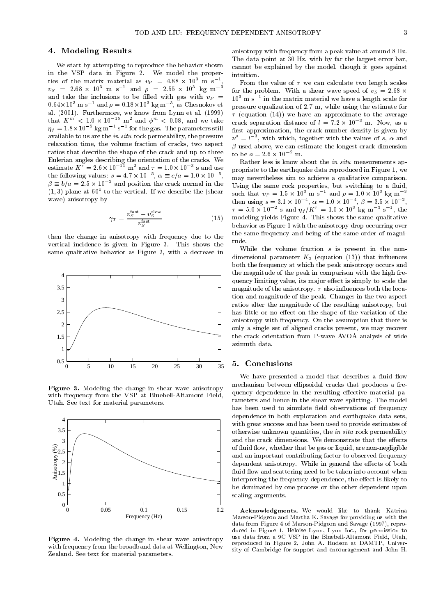#### 4. Modeling Results

We start by attempting to reproduce the behavior shown in the VSP data in Figure 2. We model the properties of the matrix material as  $v_P = 4.88 \times 10^{-1}$  m s  $^{-}$ , From  $v_S = 2.68 \times 10 \text{ m/s}$  and  $\rho = 2.55 \times 10 \text{ kg m}$  for and take the inclusions to be filled with gas with  $v_P$  =  $0.64 \times 10^{-6}$  m s  $^{-3}$  and  $\rho = 0.18 \times 10^{-6}$  kg m  $^{-3}$ , as Chesnokov et  $^{-1}$  pres al. (2001). Furthermore, we know from Lynn et al. (1999) that K  $\leq$  1.0  $\times$  10  $\,$  m and  $\varnothing\,$   $\leq$  0.08, and we take  $\,$   $_{\rm{crosal}}$  $\eta_f = 1.8 \times 10^{-7}$  kg m  $^{-1}$  s  $^{-1}$  for the gas. The parameters still  $^{-1}$   $_{\rm{fi}}$ available to us are the in situ rock permeability, the pressure relaxation time, the volume fraction of cracks, two aspect ratios that describe the shape of the crack and up to three estimate  $K^{\sigma} = 2.6 \times 10^{-11}$  m<sup>2</sup> and  $\tau = 1.0 \times 10^{-3}$  s and use the following values:  $s = 4.7 \times 10^{-7}$ ,  $\alpha \equiv c/a = 1.0 \times 10^{-7}$ ,  $m_{335}$  $\beta \equiv o/a = 2.5 \times 10^{-7}$  and position the crack normal in the  $\alpha_{\text{Hein}}$  $(1,3)$ -plane at  $60$  to the vertical. If we describe the (shear  $\epsilon_{\rm end}$ ) wave) anisotropy by

$$
\gamma_T = \frac{v_S^{\text{fast}} - v_S^{\text{slow}}}{v_S^{\text{fast}}} \tag{15}
$$

then the change in anisotropy with frequency due to the vertical incidence is given in Figure 3. This shows the same qualitative behavior as Figure 2, with a decrease in



Figure 3. Modeling the change in shear wave anisotropy with frequency from the VSP at Bluebell-Altamont Field, Utah. See text for material parameters.



 $\mathbf{F}$  is a model in the change in shear wave and shear wave and wave anisotropy in the change and  $\mathbf{F}$ with frequency from the broadband data at Wellington, New Zealand. See text for material parameters.

anisotropy with frequency from a peak value at around 8 Hz. The data point at 30 Hz, with by far the largest error bar, cannot be explained by the model, though it goes against

From the value of  $\tau$  we can calculate two length scales for the problem. With a shear wave speed of  $v_S = 2.68 \times$ 103 m s1 in the matrix material we have a length scale for pressure equalization of 2:7 m, while using the estimate for  $\tau$  (equation (14)) we have an approximate to the average crack separation distance of  $l = 7.2 \times 10^{-7}$  m. Now, as a first approximation, the crack number density is given by  $\nu^{\scriptscriptstyle -}=l^{\scriptscriptstyle -}$ , with which, together with the values of s,  $\alpha$  and  $\beta$  used above, we can estimate the longest crack dimension to be  $a = 2.6 \times 10^{-2}$  m.

, may nevertheless aim to achieve a qualitative comparison. (15) modeling yields Figure 4. This shows the same qualitative Rather less is know about the in situ measurements appropriate to the earthquake data reproduced in Figure 1, we Using the same rock properties, but switching to a fluid, such that  $v_P = 1.5 \times 10^8$  m s  $\alpha$  and  $\rho = 1.0 \times 10^8$  kg m then using  $s = 3.1 \times 10$ ,  $\alpha = 1.0 \times 10$ ,  $\rho = 3.5 \times 10$ ,  $\tau = 5.0 \times 10^{-7}$  s and  $\eta_f/K = 1.0 \times 10^{7}$  kg m  $^{-1}$  s  $^{-1}$ , the behavior as Figure 1 with the anisotropy drop occurring over the same frequency and being of the same order of magnitude.

While the volume fraction <sup>s</sup> is present in the non dimensional parameter  $K_2$  (equation (13)) that influences both the frequency at which the peak anisotropy occurs and the magnitude of the peak in comparison with the high frequency limiting value, its major effect is simply to scale the magnitude of the anisotropy.  $\tau$  also influences both the location and magnitude of the peak. Changes in the two aspect ratios alter the magnitude of the resulting anisotropy, but has little or no effect on the shape of the variation of the anisotropy with frequency. On the assumption that there is only a single set of aligned cracks present, we may recover the crack orientation from P-wave AVOA analysis of wide azimuth data.

We have presented a model that describes a fluid flow mechanism between ellipsoidal cracks that produces a frequency dependence in the resulting effective material parameters and hence in the shear wave splitting. The model has been used to simulate field observations of frequency dependence in both exploration and earthquake data sets, with great success and has been used to provide estimates of otherwise unknown quantities, the in situ rock permeability and the crack dimensions. We demonstrate that the effects of fluid flow, whether that be gas or liquid, are non-negligible and an important contributing factor to observed frequency dependent anisotropy. While in general the effects of both fluid flow and scattering need to be taken into account when interpreting the frequency dependence, the effect is likely to be dominated by one process or the other dependent upon scaling arguments.

Acknowledgments. We would like to thank Katrina Marson-Pidgeon and Martha K. Savage for providing us with the data from Figure 4 of Marson-Pidgeon and Savage (1997), reproduced in Figure 1, Heloise Lynn, Lynn Inc., for permission to use data from a 9C VSP in the Bluebell-Altamont Field, Utah, reproduced in Figure 2, John A. Hudson at DAMTP, Univer sity of Cambridge for support and encouragement and John H.